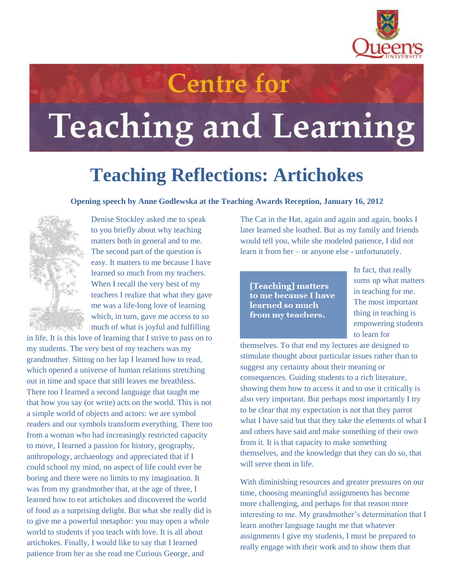

## **Teaching and Learning**

**Centre for** 

## **Teaching Reflections: Artichokes**

## **Opening speech by Anne Godlewska at the Teaching Awards Reception, January 16, 2012**



Denise Stockley asked me to speak to you briefly about why teaching matters both in general and to me. The second part of the question is easy. It matters to me because I have learned so much from my teachers. When I recall the very best of my teachers I realize that what they gave me was a life-long love of learning which, in turn, gave me access to so much of what is joyful and fulfilling

in life. It is this love of learning that I strive to pass on to my students. The very best of my teachers was my grandmother. Sitting on her lap I learned how to read, which opened a universe of human relations stretching out in time and space that still leaves me breathless. There too I learned a second language that taught me that how you say (or write) acts on the world. This is not a simple world of objects and actors: we are symbol readers and our symbols transform everything. There too from a woman who had increasingly restricted capacity to move, I learned a passion for history, geography, anthropology, archaeology and appreciated that if I could school my mind, no aspect of life could ever be boring and there were no limits to my imagination. It was from my grandmother that, at the age of three, I learned how to eat artichokes and discovered the world of food as a surprising delight. But what she really did is to give me a powerful metaphor: you may open a whole world to students if you teach with love. It is all about artichokes. Finally, I would like to say that I learned patience from her as she read me Curious George, and

The Cat in the Hat, again and again and again, books I later learned she loathed. But as my family and friends would tell you, while she modeled patience, I did not learn it from her – or anyone else - unfortunately.

[Teaching] matters to me because I have learned so much from my teachers.

In fact, that really sums up what matters in teaching for me. The most important thing in teaching is empowering students to learn for

themselves. To that end my lectures are designed to stimulate thought about particular issues rather than to suggest any certainty about their meaning or consequences. Guiding students to a rich literature, showing them how to access it and to use it critically is also very important. But perhaps most importantly I try to be clear that my expectation is not that they parrot what I have said but that they take the elements of what I and others have said and make something of their own from it. It is that capacity to make something themselves, and the knowledge that they can do so, that will serve them in life.

With diminishing resources and greater pressures on our time, choosing meaningful assignments has become more challenging, and perhaps for that reason more interesting to me. My grandmother's determination that I learn another language taught me that whatever assignments I give my students, I must be prepared to really engage with their work and to show them that